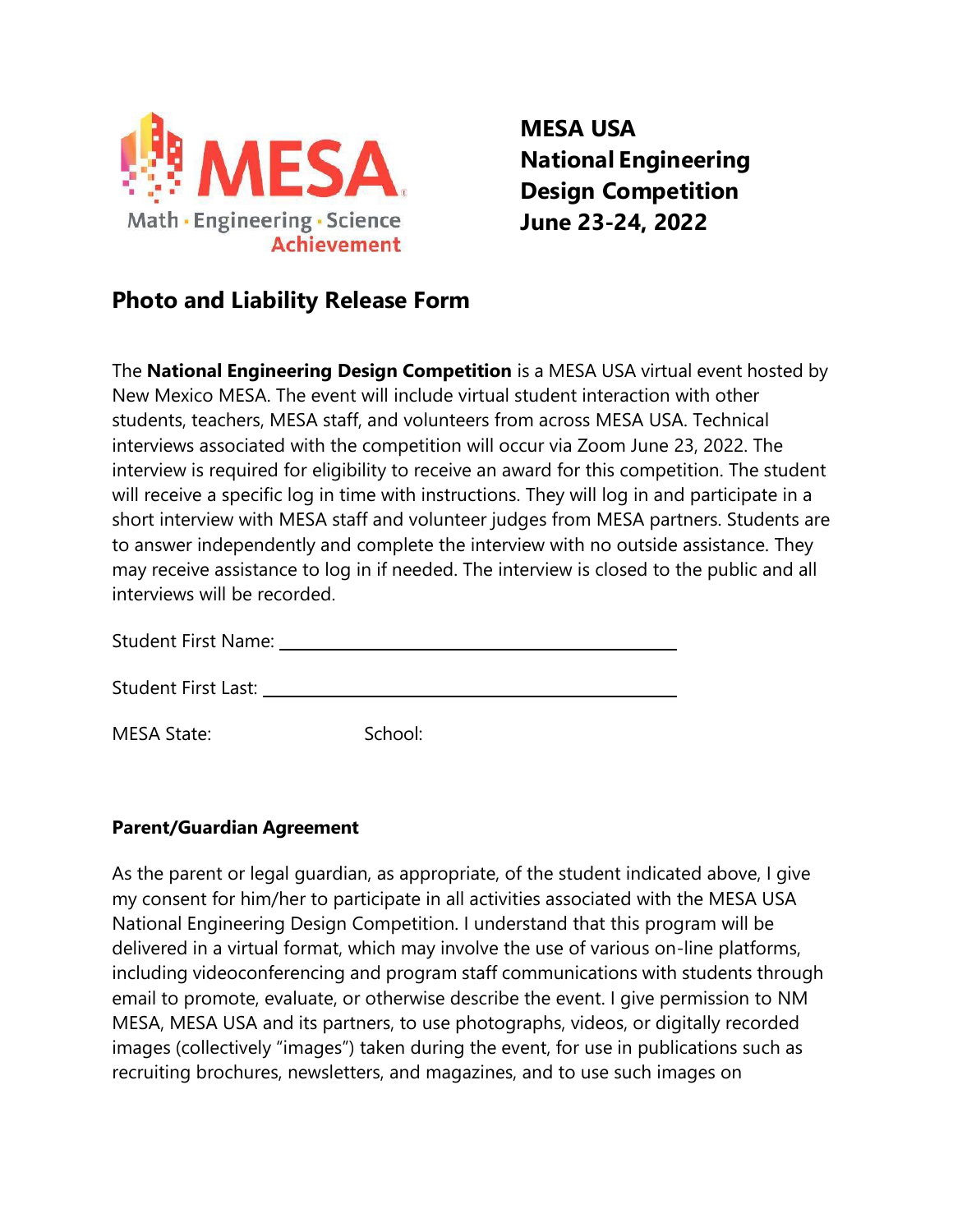

**MESA USA National Engineering Design Competition June 23-24, 2022**

## **Photo and Liability Release Form**

The **National Engineering Design Competition** is a MESA USA virtual event hosted by New Mexico MESA. The event will include virtual student interaction with other students, teachers, MESA staff, and volunteers from across MESA USA. Technical interviews associated with the competition will occur via Zoom June 23, 2022. The interview is required for eligibility to receive an award for this competition. The student will receive a specific log in time with instructions. They will log in and participate in a short interview with MESA staff and volunteer judges from MESA partners. Students are to answer independently and complete the interview with no outside assistance. They may receive assistance to log in if needed. The interview is closed to the public and all interviews will be recorded.

Student First Last:

MESA State: School:

## **Parent/Guardian Agreement**

As the parent or legal guardian, as appropriate, of the student indicated above, I give my consent for him/her to participate in all activities associated with the MESA USA National Engineering Design Competition. I understand that this program will be delivered in a virtual format, which may involve the use of various on-line platforms, including videoconferencing and program staff communications with students through email to promote, evaluate, or otherwise describe the event. I give permission to NM MESA, MESA USA and its partners, to use photographs, videos, or digitally recorded images (collectively "images") taken during the event, for use in publications such as recruiting brochures, newsletters, and magazines, and to use such images on